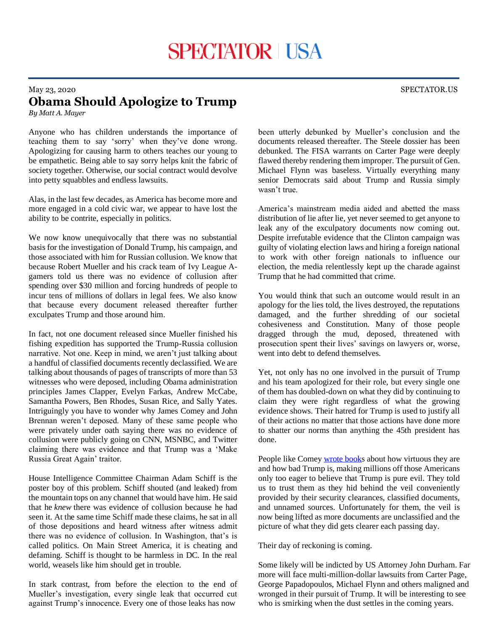## May 23, 2020 SPECTATOR.US **Obama Should Apologize to Trump**

*By Matt A. Mayer*

Anyone who has children understands the importance of teaching them to say 'sorry' when they've done wrong. Apologizing for causing harm to others teaches our young to be empathetic. Being able to say sorry helps knit the fabric of society together. Otherwise, our social contract would devolve into petty squabbles and endless lawsuits.

Alas, in the last few decades, as America has become more and more engaged in a cold civic war, we appear to have lost the ability to be contrite, especially in politics.

We now know unequivocally that there was no substantial basis for the investigation of Donald Trump, his campaign, and those associated with him for Russian collusion. We know that because Robert Mueller and his crack team of Ivy League Agamers told us there was no evidence of collusion after spending over \$30 million and forcing hundreds of people to incur tens of millions of dollars in legal fees. We also know that because every document released thereafter further exculpates Trump and those around him.

In fact, not one document released since Mueller finished his fishing expedition has supported the Trump-Russia collusion narrative. Not one. Keep in mind, we aren't just talking about a handful of classified documents recently declassified. We are talking about thousands of pages of transcripts of more than 53 witnesses who were deposed, including Obama administration principles James Clapper, Evelyn Farkas, Andrew McCabe, Samantha Powers, Ben Rhodes, Susan Rice, and Sally Yates. Intriguingly you have to wonder why James Comey and John Brennan weren't deposed. Many of these same people who were privately under oath saying there was no evidence of collusion were publicly going on CNN, MSNBC, and Twitter claiming there was evidence and that Trump was a 'Make Russia Great Again' traitor.

House Intelligence Committee Chairman Adam Schiff is the poster boy of this problem. Schiff shouted (and leaked) from the mountain tops on any channel that would have him. He said that he *knew* there was evidence of collusion because he had seen it. At the same time Schiff made these claims, he sat in all of those depositions and heard witness after witness admit there was no evidence of collusion. In Washington, that's is called politics. On Main Street America, it is cheating and defaming. Schiff is thought to be harmless in DC. In the real world, weasels like him should get in trouble.

In stark contrast, from before the election to the end of Mueller's investigation, every single leak that occurred cut against Trump's innocence. Every one of those leaks has now

been utterly debunked by Mueller's conclusion and the documents released thereafter. The Steele dossier has been debunked. The FISA warrants on Carter Page were deeply flawed thereby rendering them improper. The pursuit of Gen. Michael Flynn was baseless. Virtually everything many senior Democrats said about Trump and Russia simply wasn't true.

America's mainstream media aided and abetted the mass distribution of lie after lie, yet never seemed to get anyone to leak any of the exculpatory documents now coming out. Despite irrefutable evidence that the Clinton campaign was guilty of violating election laws and hiring a foreign national to work with other foreign nationals to influence our election, the media relentlessly kept up the charade against Trump that he had committed that crime.

You would think that such an outcome would result in an apology for the lies told, the lives destroyed, the reputations damaged, and the further shredding of our societal cohesiveness and Constitution. Many of those people dragged through the mud, deposed, threatened with prosecution spent their lives' savings on lawyers or, worse, went into debt to defend themselves.

Yet, not only has no one involved in the pursuit of Trump and his team apologized for their role, but every single one of them has doubled-down on what they did by continuing to claim they were right regardless of what the growing evidence shows. Their hatred for Trump is used to justify all of their actions no matter that those actions have done more to shatter our norms than anything the 45th president has done.

People like Come[y wrote books](https://bookshop.org/a/3057/9781250192479) about how virtuous they are and how bad Trump is, making millions off those Americans only too eager to believe that Trump is pure evil. They told us to trust them as they hid behind the veil conveniently provided by their security clearances, classified documents, and unnamed sources. Unfortunately for them, the veil is now being lifted as more documents are unclassified and the picture of what they did gets clearer each passing day.

Their day of reckoning is coming.

Some likely will be indicted by US Attorney John Durham. Far more will face multi-million-dollar lawsuits from Carter Page, George Papadopoulos, Michael Flynn and others maligned and wronged in their pursuit of Trump. It will be interesting to see who is smirking when the dust settles in the coming years.